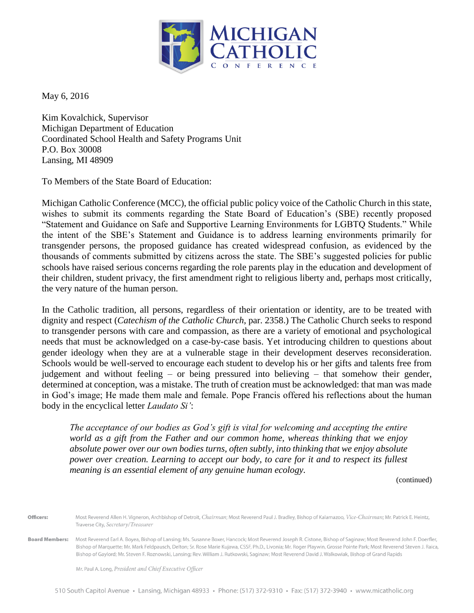

May 6, 2016

Kim Kovalchick, Supervisor Michigan Department of Education Coordinated School Health and Safety Programs Unit P.O. Box 30008 Lansing, MI 48909

To Members of the State Board of Education:

Michigan Catholic Conference (MCC), the official public policy voice of the Catholic Church in this state, wishes to submit its comments regarding the State Board of Education's (SBE) recently proposed "Statement and Guidance on Safe and Supportive Learning Environments for LGBTQ Students." While the intent of the SBE's Statement and Guidance is to address learning environments primarily for transgender persons, the proposed guidance has created widespread confusion, as evidenced by the thousands of comments submitted by citizens across the state. The SBE's suggested policies for public schools have raised serious concerns regarding the role parents play in the education and development of their children, student privacy, the first amendment right to religious liberty and, perhaps most critically, the very nature of the human person.

In the Catholic tradition, all persons, regardless of their orientation or identity, are to be treated with dignity and respect (*Catechism of the Catholic Church*, par. 2358.) The Catholic Church seeks to respond to transgender persons with care and compassion, as there are a variety of emotional and psychological needs that must be acknowledged on a case-by-case basis. Yet introducing children to questions about gender ideology when they are at a vulnerable stage in their development deserves reconsideration. Schools would be well-served to encourage each student to develop his or her gifts and talents free from judgement and without feeling – or being pressured into believing – that somehow their gender, determined at conception, was a mistake. The truth of creation must be acknowledged: that man was made in God's image; He made them male and female. Pope Francis offered his reflections about the human body in the encyclical letter *Laudato Si'*:

*The acceptance of our bodies as God's gift is vital for welcoming and accepting the entire world as a gift from the Father and our common home, whereas thinking that we enjoy absolute power over our own bodies turns, often subtly, into thinking that we enjoy absolute power over creation. Learning to accept our body, to care for it and to respect its fullest meaning is an essential element of any genuine human ecology.* 

(continued)

Most Reverend Allen H. Vigneron, Archbishop of Detroit, Chairman; Most Reverend Paul J. Bradley, Bishop of Kalamazoo, Vice-Chairman; Mr. Patrick E. Heintz, Officers: Traverse City, Secretary/Treasurer

**Board Members:** Most Reverend Earl A. Boyea, Bishop of Lansing; Ms. Susanne Boxer, Hancock; Most Reverend Joseph R. Cistone, Bishop of Saginaw; Most Reverend John F. Doerfler, Bishop of Marquette; Mr. Mark Feldpausch, Delton; Sr. Rose Marie Kujawa, CSSF, Ph.D., Livonia; Mr. Roger Playwin, Grosse Pointe Park; Most Reverend Steven J. Raica, Bishop of Gaylord; Mr. Steven F. Roznowski, Lansing; Rev. William J. Rutkowski, Saginaw; Most Reverend David J. Walkowiak, Bishop of Grand Rapids

Mr. Paul A. Long, President and Chief Executive Officer